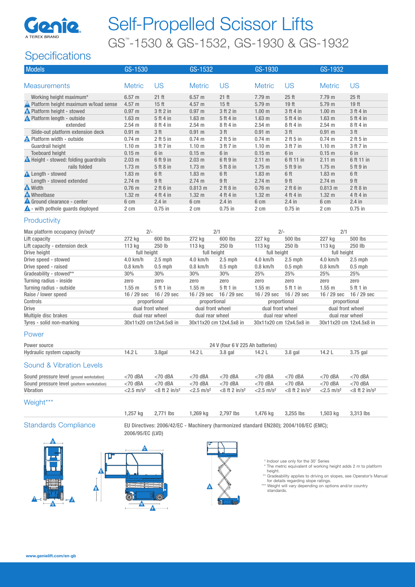

# Self-Propelled Scissor Lifts GS™ -1530 & GS-1532, GS-1930 & GS-1932

## **Specifications**

| <b>Models</b>                                | GS-1530           |                  | GS-1532           |                  | GS-1930           |                  | GS-1932           |                  |
|----------------------------------------------|-------------------|------------------|-------------------|------------------|-------------------|------------------|-------------------|------------------|
|                                              |                   |                  |                   |                  |                   |                  |                   |                  |
| <b>Measurements</b>                          | <b>Metric</b>     | US               | <b>Metric</b>     | US.              | <b>Metric</b>     | US               | <b>Metric</b>     | US               |
| Working height maximum*                      | 6.57 m            | $21$ ft          | 6.57 <sub>m</sub> | $21$ ft          | $7.79 \; m$       | $25$ ft          | 7.79 m            | $25$ ft          |
| A Platform height maximum w/load sense       | $4.57 \;{\rm m}$  | 15 <sub>ft</sub> | $4.57 \text{ m}$  | 15 <sub>ft</sub> | 5.79 <sub>m</sub> | 19 <sub>ft</sub> | 5.79 <sub>m</sub> | 19 <sub>ft</sub> |
| <b>A</b> Platform height - stowed            | 0.97 m            | 3 ft 2 in        | 0.97 <sub>m</sub> | 3 ft 2 in        | 1.00 <sub>m</sub> | 3 ft 4 in        | 1.00 <sub>m</sub> | 3 ft 4 in        |
| <b>A</b> Platform length - outside           | 1.63 <sub>m</sub> | 5 ft 4 in        | 1.63 <sub>m</sub> | 5 ft 4 in        | 1.63 <sub>m</sub> | 5ft4in           | 1.63 <sub>m</sub> | 5 ft 4 in        |
| extended                                     | 2.54 m            | 8 ft 4 in        | 2.54 m            | 8 ft 4 in        | 2.54 <sub>m</sub> | 8 ft 4 in        | 2.54 m            | 8 ft 4 in        |
| Slide-out platform extension deck            | $0.91$ m          | 3 <sub>ft</sub>  | $0.91$ m          | 3 <sub>ft</sub>  | 0.91 m            | 3 ft             | $0.91$ m          | 3 <sub>ft</sub>  |
| <b>A</b> Platform width - outside            | 0.74 m            | $2$ ft 5 in      | $0.74 \text{ m}$  | $2$ ft 5 in      | $0.74 \text{ m}$  | $2$ ft 5 in      | $0.74 \text{ m}$  | $2$ ft 5 in      |
| Guardrail height                             | 1.10 <sub>m</sub> | 3 ft 7 in        | 1.10 <sub>m</sub> | 3 ft 7 in        | 1.10 <sub>m</sub> | 3 ft 7 in        | 1.10 <sub>m</sub> | 3 ft 7 in        |
| <b>Toeboard height</b>                       | 0.15 m            | 6 in             | 0.15 m            | 6 in             | $0.15$ m          | 6 in             | 0.15 m            | 6 in             |
| <b>A</b> Height - stowed: folding guardrails | 2.03 m            | 6 ft 9 in        | $2.03 \text{ m}$  | 6 ft 9 in        | $2.11 \text{ m}$  | 6 ft 11 in       | $2.11 \text{ m}$  | 6 ft 11 in       |
| rails folded                                 | 1.73 <sub>m</sub> | 5 ft 8 in        | $1.73 \text{ m}$  | 5 ft 8 in        | $1.75$ m          | 5 ft 9 in        | $1.75$ m          | 5 ft 9 in        |
| <b>A</b> Length - stowed                     | 1.83 <sub>m</sub> | 6 ft             | 1.83 <sub>m</sub> | 6 ft             | $1.83 \text{ m}$  | 6ft              | 1.83 <sub>m</sub> | 6 ft             |
| Length - stowed extended                     | 2.74 m            | 9 ft             | 2.74 m            | 9 ft             | 2.74 m            | 9 ft             | 2.74 m            | 9 ft             |
| <b>A</b> Width                               | $0.76$ m          | $2$ ft 6 in      | 0.813 m           | $2$ ft $8$ in    | $0.76$ m          | $2$ ft 6 in      | 0.813 m           | $2$ ft $8$ in    |
| <b>A</b> Wheelbase                           | 1.32 <sub>m</sub> | 4 ft 4 in        | $1.32 \; m$       | 4 ft 4 in        | $1.32 \text{ m}$  | 4 ft 4 in        | $1.32 \text{ m}$  | 4 ft 4 in        |
| Ground clearance - center                    | 6 cm              | $2.4$ in         | 6 cm              | $2.4$ in         | 6 cm              | $2.4$ in         | 6 cm              | $2.4$ in         |
| $\triangle$ - with pothole guards deployed   | 2 cm              | $0.75$ in        | 2 cm              | $0.75$ in        | 2 cm              | $0.75$ in        | 2 cm              | $0.75$ in        |
| Productivity                                 |                   |                  |                   |                  |                   |                  |                   |                  |

### Max platform occupancy  $(in/out)^1$  2/- 2/1 2/1 2/1 2/- 2/1 Lift capacity 272 kg 600 lbs 272 kg 600 lbs 227 kg 500 lbs 227 kg 500 lbs Lift capacity - extension deck 113 kg 250 lb 113 kg 250 lb 113 kg 250 lb 113 kg 250 lb<br>Drive height full height full height full height full height full height full height full height Drive height full height full height full height full height Drive speed - stowed 4.0 km/h 2.5 mph 4.0 km/h 2.5 mph 4.0 km/h 2.5 mph 4.0 km/h 2.5 mph Drive speed - raised 0.8 km/h 0.5 mph 0.8 km/h 0.5 mph 0.8 km/h 0.5 mph 0.8 km/h 0.5 mph Gradeability - stowed\*\* 30% 30% 30% 30% 30% 25% 25% 25% 25% 25% Turning radius - inside zero zero zero zero zero zero zero zero Turning radius - outside 1.55 m 5 ft 1 in 1.55 m 5 ft 1 in 1.55 m 5 ft 1 in 1.55 m 5 ft 1 in 1.55 m 5 ft 1 in 1.55 m 5 ft 1 in 1.55 m 5 ft 1 in 1.55 m 5 ft 1 in 1.55 m 5 ft 1 in 1.55 m 5 ft 1 in 1.55 m 5 ft 1 in 1.55 m 5 f Raise / lower speed 16 / 29 sec 16 / 29 sec 16 / 29 sec 16 / 29 sec 16 / 29 sec 16 / 29 sec 16 / 29 sec 16 / 29 sec Controls proportional proportional proportional proportional Drive Drive dual front wheel dual front wheel dual front wheel dual front wheel dual front wheel dual front wheel<br>Dual front dual front dual front wheel dual front wheel dual front wheel dual front wheel dual front wheel d Multiple disc brakes Tyres - solid non-marking 30x11x20 cm12x4.5x8 in 30x11x20 cm 12x4.5x8 in 30x11x20 cm 12x4.5x8 in 30x11x20 cm 12x4.5x8 in

### Power

| Power source                                | 24 V (four 6 V 225 Ah batteries) |                              |                          |                     |                          |                             |                          |                              |  |  |
|---------------------------------------------|----------------------------------|------------------------------|--------------------------|---------------------|--------------------------|-----------------------------|--------------------------|------------------------------|--|--|
| Hydraulic system capacity                   | 14.2L                            | 3.8gal                       | 14.2L                    | $3.8$ gal           | 14.2 L                   | $3.8$ gal                   | 14.2L                    | $3.75$ gal                   |  |  |
| Sound & Vibration Levels                    |                                  |                              |                          |                     |                          |                             |                          |                              |  |  |
| Sound pressure level (ground workstation)   | $<$ 70 dBA                       | $<$ 70 dBA                   | $<$ 70 dBA               | $<$ 70 dBA          | $<$ 70 dBA               | $<$ 70 dBA                  | $<$ 70 dBA               | $<$ 70 dBA                   |  |  |
| Sound pressure level (platform workstation) | $<$ 70 dBA                       | $<$ 70 dBA                   | $<$ 70 dBA               | $<$ 70 dBA          | $<$ 70 dBA               | $<$ 70 dBA                  | $<$ 70 dBA               | $<$ 70 dBA                   |  |  |
| Vibration                                   | $<$ 2.5 m/s <sup>2</sup>         | $<$ 8 ft 2 in/s <sup>2</sup> | $<$ 2.5 m/s <sup>2</sup> | $<8$ ft 2 in/ $s^2$ | $<$ 2.5 m/s <sup>2</sup> | $<8$ ft 2 in/s <sup>2</sup> | $<$ 2.5 m/s <sup>2</sup> | $<$ 8 ft 2 in/s <sup>2</sup> |  |  |
| Weight***                                   |                                  |                              |                          |                     |                          |                             |                          |                              |  |  |

1,257 kg 2,771 lbs 1,269 kg 2,797 lbs 1,476 kg 3,255 lbs 1,503 kg 3,313 lbs

F

C

Standards Compliance EU Directives: 2006/42/EC - Machinery (harmonized standard EN280); 2004/108/EC (EMC); 2006/95/EC (LVD)





- <sup>1</sup> Indoor use only for the 30' Series
- The metric equivalent of working height adds 2 m to platform height.
	- ' Gradeability applies to driving on slopes, see Operator's Manual for details regarding slope ratings. \*\*\* Weight will vary depending on options and/or country
	- standards.